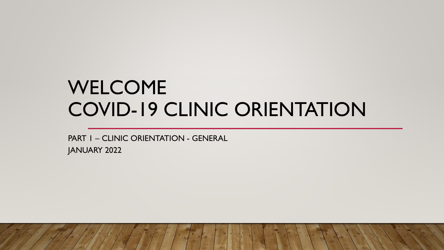# WELCOME COVID-19 CLINIC ORIENTATION

PART 1 – CLINIC ORIENTATION - GENERAL

JANUARY 2022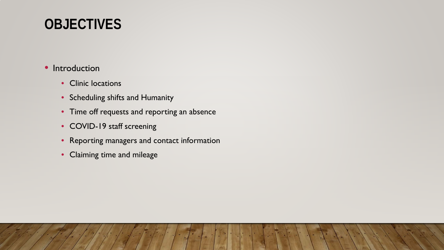# **OBJECTIVES**

#### • Introduction

- Clinic locations
- Scheduling shifts and Humanity
- Time off requests and reporting an absence
- COVID-19 staff screening
- Reporting managers and contact information
- Claiming time and mileage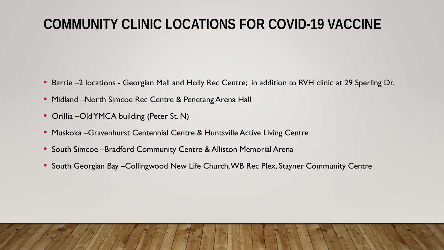# **COMMUNITY CLINIC LOCATIONS FOR COVID-19 VACCINE**

- Barrie –2 locations Georgian Mall and Holly Rec Centre; in addition to RVH clinic at 29 Sperling Dr.
- Midland –North Simcoe Rec Centre & Penetang Arena Hall
- Orillia –Old YMCA building (Peter St. N)
- Muskoka –Gravenhurst Centennial Centre & Huntsville Active Living Centre
- South Simcoe –Bradford Community Centre & Alliston Memorial Arena
- South Georgian Bay Collingwood New Life Church, WB Rec Plex, Stayner Community Centre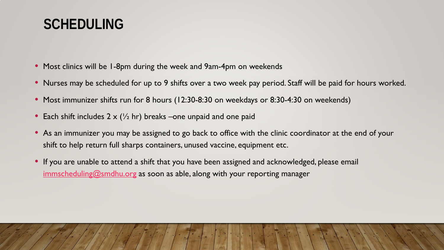### **SCHEDULING**

- Most clinics will be 1-8pm during the week and 9am-4pm on weekends
- Nurses may be scheduled for up to 9 shifts over a two week pay period. Staff will be paid for hours worked.
- Most immunizer shifts run for 8 hours (12:30-8:30 on weekdays or 8:30-4:30 on weekends)
- Each shift includes  $2 \times (1/2)$  hr) breaks –one unpaid and one paid
- As an immunizer you may be assigned to go back to office with the clinic coordinator at the end of your shift to help return full sharps containers, unused vaccine, equipment etc.
- If you are unable to attend a shift that you have been assigned and acknowledged, please email [immscheduling@smdhu.org](mailto:immsscheduling@smdhu.org) as soon as able, along with your reporting manager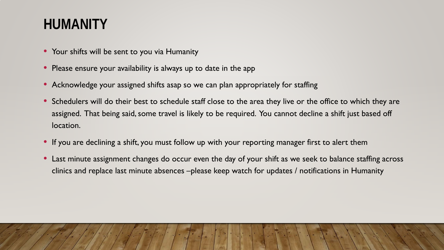# **HUMANITY**

- Your shifts will be sent to you via Humanity
- Please ensure your availability is always up to date in the app
- Acknowledge your assigned shifts asap so we can plan appropriately for staffing
- Schedulers will do their best to schedule staff close to the area they live or the office to which they are assigned. That being said, some travel is likely to be required. You cannot decline a shift just based off location.
- If you are declining a shift, you must follow up with your reporting manager first to alert them
- Last minute assignment changes do occur even the day of your shift as we seek to balance staffing across clinics and replace last minute absences –please keep watch for updates / notifications in Humanity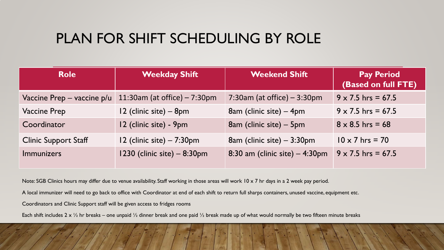### PLAN FOR SHIFT SCHEDULING BY ROLE

| <b>Role</b>                    | <b>Weekday Shift</b>                  | <b>Weekend Shift</b>             | <b>Pay Period</b><br>(Based on full FTE) |
|--------------------------------|---------------------------------------|----------------------------------|------------------------------------------|
| Vaccine Prep $-$ vaccine $p/u$ | 11:30am (at office) - 7:30pm          | 7:30am (at office) $-3:30$ pm    | $9 \times 7.5$ hrs = 67.5                |
| <b>Vaccine Prep</b>            | 12 (clinic site) – 8pm                | 8am (clinic site) – 4pm          | $9 \times 7.5$ hrs = 67.5                |
| Coordinator                    | 12 (clinic site) - 9pm                | 8am (clinic site) – 5pm          | $8 \times 8.5$ hrs = 68                  |
| <b>Clinic Support Staff</b>    | $12$ (clinic site) $- 7:30 \text{pm}$ | 8am (clinic site) $-3:30$ pm     | $10 \times 7$ hrs = 70                   |
| <b>Immunizers</b>              | 1230 (clinic site) - 8:30pm           | 8:30 am (clinic site) $-4:30$ pm | $9 \times 7.5$ hrs = 67.5                |

Note: SGB Clinics hours may differ due to venue availability. Staff working in those areas will work 10 x 7 hr days in a 2 week pay period.

A local immunizer will need to go back to office with Coordinator at end of each shift to return full sharps containers, unused vaccine, equipment etc.

Coordinators and Clinic Support staff will be given access to fridges rooms

Each shift includes 2 x  $\frac{1}{2}$  hr breaks – one unpaid  $\frac{1}{2}$  dinner break and one paid  $\frac{1}{2}$  break made up of what would normally be two fifteen minute breaks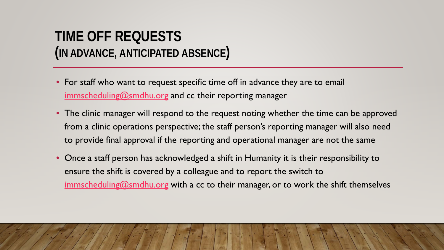#### **TIME OFF REQUESTS (IN ADVANCE, ANTICIPATED ABSENCE)**

- For staff who want to request specific time off in advance they are to email [immscheduling@smdhu.org](mailto:immscheduling@smdhu.org) and cc their reporting manager
- The clinic manager will respond to the request noting whether the time can be approved from a clinic operations perspective; the staff person's reporting manager will also need to provide final approval if the reporting and operational manager are not the same
- Once a staff person has acknowledged a shift in Humanity it is their responsibility to ensure the shift is covered by a colleague and to report the switch to [immscheduling@smdhu.org](mailto:immscheduling@smdhu.org) with a cc to their manager, or to work the shift themselves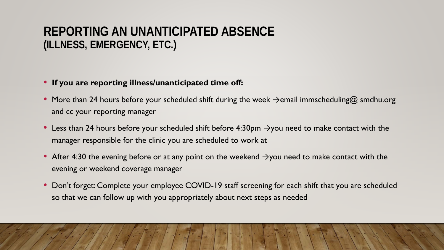#### **REPORTING AN UNANTICIPATED ABSENCE (ILLNESS, EMERGENCY, ETC.)**

#### • **If you are reporting illness/unanticipated time off:**

- More than 24 hours before your scheduled shift during the week  $\rightarrow$ email immscheduling@ smdhu.org and cc your reporting manager
- Less than 24 hours before your scheduled shift before 4:30pm  $\rightarrow$ you need to make contact with the manager responsible for the clinic you are scheduled to work at
- After 4:30 the evening before or at any point on the weekend  $\rightarrow$ you need to make contact with the evening or weekend coverage manager
- Don't forget: Complete your employee COVID-19 staff screening for each shift that you are scheduled so that we can follow up with you appropriately about next steps as needed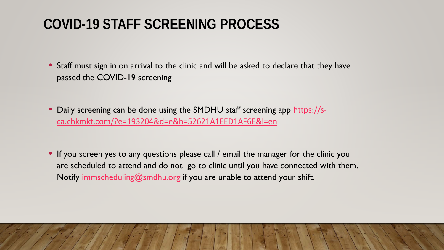# **COVID-19 STAFF SCREENING PROCESS**

• Staff must sign in on arrival to the clinic and will be asked to declare that they have passed the COVID-19 screening

- [Daily screening can be done using the SMDHU staff screening app](https://s-ca.chkmkt.com/?e=193204&d=e&h=52621A1EED1AF6E&l=en) https://sca.chkmkt.com/?e=193204&d=e&h=52621A1EED1AF6E&l=en
- If you screen yes to any questions please call / email the manager for the clinic you are scheduled to attend and do not go to clinic until you have connected with them. Notify [immscheduling@smdhu.org](mailto:immscheduling@smdhu.org) if you are unable to attend your shift.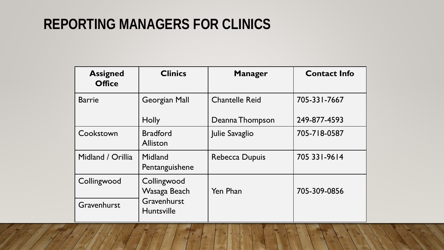# **REPORTING MANAGERS FOR CLINICS**

| <b>Assigned</b><br><b>Office</b> | <b>Clinics</b>                                                  | <b>Manager</b>        | <b>Contact Info</b> |
|----------------------------------|-----------------------------------------------------------------|-----------------------|---------------------|
| <b>Barrie</b>                    | Georgian Mall                                                   | <b>Chantelle Reid</b> | 705-331-7667        |
|                                  | <b>Holly</b>                                                    | Deanna Thompson       | 249-877-4593        |
| Cookstown                        | <b>Bradford</b><br>Alliston                                     | Julie Savaglio        | 705-718-0587        |
| Midland / Orillia                | Midland<br>Pentanguishene                                       | Rebecca Dupuis        | 705 331-9614        |
| Collingwood                      | Collingwood<br>Wasaga Beach<br>Gravenhurst<br><b>Huntsville</b> | Yen Phan              | 705-309-0856        |
| Gravenhurst                      |                                                                 |                       |                     |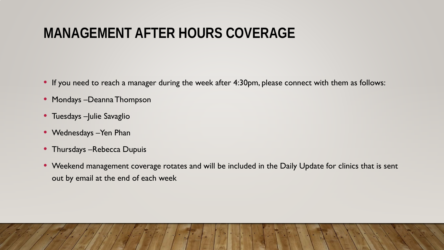# **MANAGEMENT AFTER HOURS COVERAGE**

- If you need to reach a manager during the week after 4:30pm, please connect with them as follows:
- Mondays –Deanna Thompson
- Tuesdays Julie Savaglio
- Wednesdays Yen Phan
- Thursdays Rebecca Dupuis
- Weekend management coverage rotates and will be included in the Daily Update for clinics that is sent out by email at the end of each week